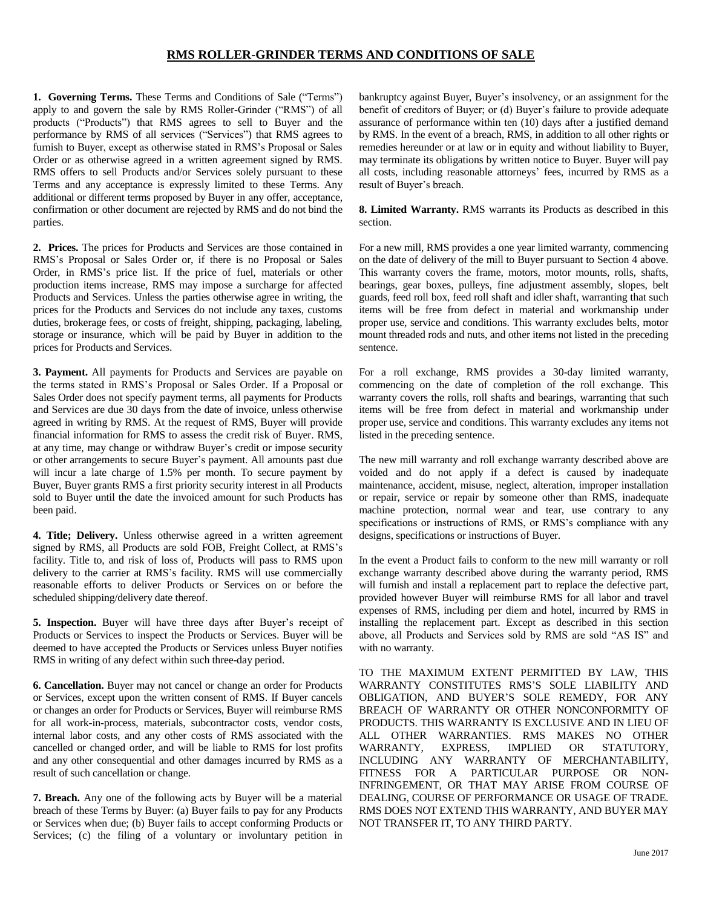## **RMS ROLLER-GRINDER TERMS AND CONDITIONS OF SALE**

**1. Governing Terms.** These Terms and Conditions of Sale ("Terms") apply to and govern the sale by RMS Roller-Grinder ("RMS") of all products ("Products") that RMS agrees to sell to Buyer and the performance by RMS of all services ("Services") that RMS agrees to furnish to Buyer, except as otherwise stated in RMS's Proposal or Sales Order or as otherwise agreed in a written agreement signed by RMS. RMS offers to sell Products and/or Services solely pursuant to these Terms and any acceptance is expressly limited to these Terms. Any additional or different terms proposed by Buyer in any offer, acceptance, confirmation or other document are rejected by RMS and do not bind the parties.

**2. Prices.** The prices for Products and Services are those contained in RMS's Proposal or Sales Order or, if there is no Proposal or Sales Order, in RMS's price list. If the price of fuel, materials or other production items increase, RMS may impose a surcharge for affected Products and Services. Unless the parties otherwise agree in writing, the prices for the Products and Services do not include any taxes, customs duties, brokerage fees, or costs of freight, shipping, packaging, labeling, storage or insurance, which will be paid by Buyer in addition to the prices for Products and Services.

**3. Payment.** All payments for Products and Services are payable on the terms stated in RMS's Proposal or Sales Order. If a Proposal or Sales Order does not specify payment terms, all payments for Products and Services are due 30 days from the date of invoice, unless otherwise agreed in writing by RMS. At the request of RMS, Buyer will provide financial information for RMS to assess the credit risk of Buyer. RMS, at any time, may change or withdraw Buyer's credit or impose security or other arrangements to secure Buyer's payment. All amounts past due will incur a late charge of 1.5% per month. To secure payment by Buyer, Buyer grants RMS a first priority security interest in all Products sold to Buyer until the date the invoiced amount for such Products has been paid.

**4. Title; Delivery.** Unless otherwise agreed in a written agreement signed by RMS, all Products are sold FOB, Freight Collect, at RMS's facility. Title to, and risk of loss of, Products will pass to RMS upon delivery to the carrier at RMS's facility. RMS will use commercially reasonable efforts to deliver Products or Services on or before the scheduled shipping/delivery date thereof.

**5. Inspection.** Buyer will have three days after Buyer's receipt of Products or Services to inspect the Products or Services. Buyer will be deemed to have accepted the Products or Services unless Buyer notifies RMS in writing of any defect within such three-day period.

**6. Cancellation.** Buyer may not cancel or change an order for Products or Services, except upon the written consent of RMS. If Buyer cancels or changes an order for Products or Services, Buyer will reimburse RMS for all work-in-process, materials, subcontractor costs, vendor costs, internal labor costs, and any other costs of RMS associated with the cancelled or changed order, and will be liable to RMS for lost profits and any other consequential and other damages incurred by RMS as a result of such cancellation or change.

**7. Breach.** Any one of the following acts by Buyer will be a material breach of these Terms by Buyer: (a) Buyer fails to pay for any Products or Services when due; (b) Buyer fails to accept conforming Products or Services; (c) the filing of a voluntary or involuntary petition in bankruptcy against Buyer, Buyer's insolvency, or an assignment for the benefit of creditors of Buyer; or (d) Buyer's failure to provide adequate assurance of performance within ten (10) days after a justified demand by RMS. In the event of a breach, RMS, in addition to all other rights or remedies hereunder or at law or in equity and without liability to Buyer, may terminate its obligations by written notice to Buyer. Buyer will pay all costs, including reasonable attorneys' fees, incurred by RMS as a result of Buyer's breach.

## **8. Limited Warranty.** RMS warrants its Products as described in this section.

For a new mill, RMS provides a one year limited warranty, commencing on the date of delivery of the mill to Buyer pursuant to Section 4 above. This warranty covers the frame, motors, motor mounts, rolls, shafts, bearings, gear boxes, pulleys, fine adjustment assembly, slopes, belt guards, feed roll box, feed roll shaft and idler shaft, warranting that such items will be free from defect in material and workmanship under proper use, service and conditions. This warranty excludes belts, motor mount threaded rods and nuts, and other items not listed in the preceding sentence.

For a roll exchange, RMS provides a 30-day limited warranty, commencing on the date of completion of the roll exchange. This warranty covers the rolls, roll shafts and bearings, warranting that such items will be free from defect in material and workmanship under proper use, service and conditions. This warranty excludes any items not listed in the preceding sentence.

The new mill warranty and roll exchange warranty described above are voided and do not apply if a defect is caused by inadequate maintenance, accident, misuse, neglect, alteration, improper installation or repair, service or repair by someone other than RMS, inadequate machine protection, normal wear and tear, use contrary to any specifications or instructions of RMS, or RMS's compliance with any designs, specifications or instructions of Buyer.

In the event a Product fails to conform to the new mill warranty or roll exchange warranty described above during the warranty period, RMS will furnish and install a replacement part to replace the defective part, provided however Buyer will reimburse RMS for all labor and travel expenses of RMS, including per diem and hotel, incurred by RMS in installing the replacement part. Except as described in this section above, all Products and Services sold by RMS are sold "AS IS" and with no warranty.

TO THE MAXIMUM EXTENT PERMITTED BY LAW, THIS WARRANTY CONSTITUTES RMS'S SOLE LIABILITY AND OBLIGATION, AND BUYER'S SOLE REMEDY, FOR ANY BREACH OF WARRANTY OR OTHER NONCONFORMITY OF PRODUCTS. THIS WARRANTY IS EXCLUSIVE AND IN LIEU OF ALL OTHER WARRANTIES. RMS MAKES NO OTHER WARRANTY, EXPRESS, IMPLIED OR STATUTORY, INCLUDING ANY WARRANTY OF MERCHANTABILITY, FITNESS FOR A PARTICULAR PURPOSE OR NON-INFRINGEMENT, OR THAT MAY ARISE FROM COURSE OF DEALING, COURSE OF PERFORMANCE OR USAGE OF TRADE. RMS DOES NOT EXTEND THIS WARRANTY, AND BUYER MAY NOT TRANSFER IT, TO ANY THIRD PARTY.